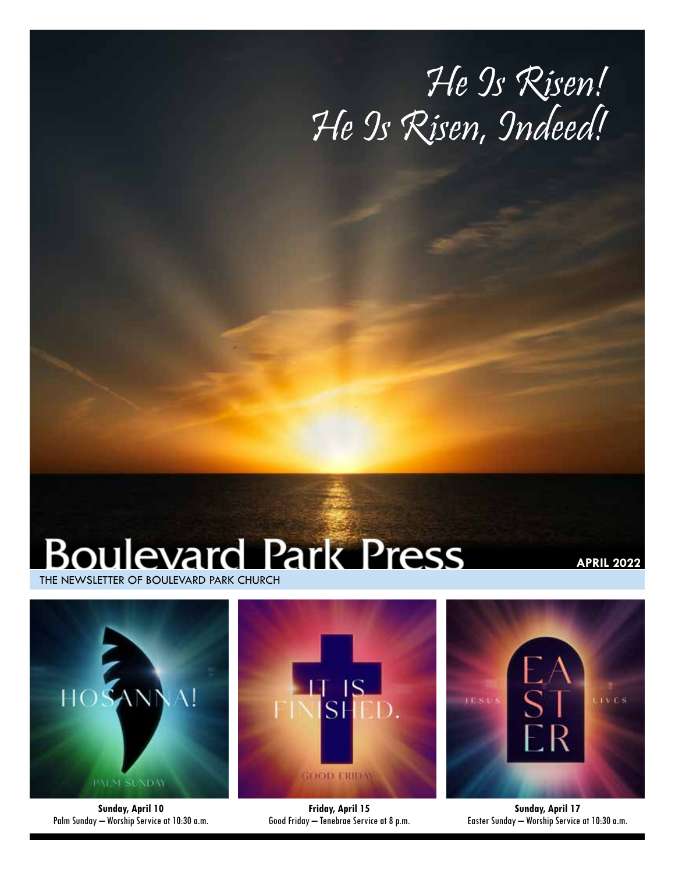# He Is Risen! He Is Risen, Indeed!

# **Boulevard Park Press** THE NEWSLETTER OF BOULEVARD PARK CHURCH

**APRIL 2022** 



**Sunday, April 10**  Palm Sunday – Worship Service at 10:30 a.m.



**Friday, April 15** Good Friday – Tenebrae Service at 8 p.m.



**Sunday, April 17** Easter Sunday – Worship Service at 10:30 a.m.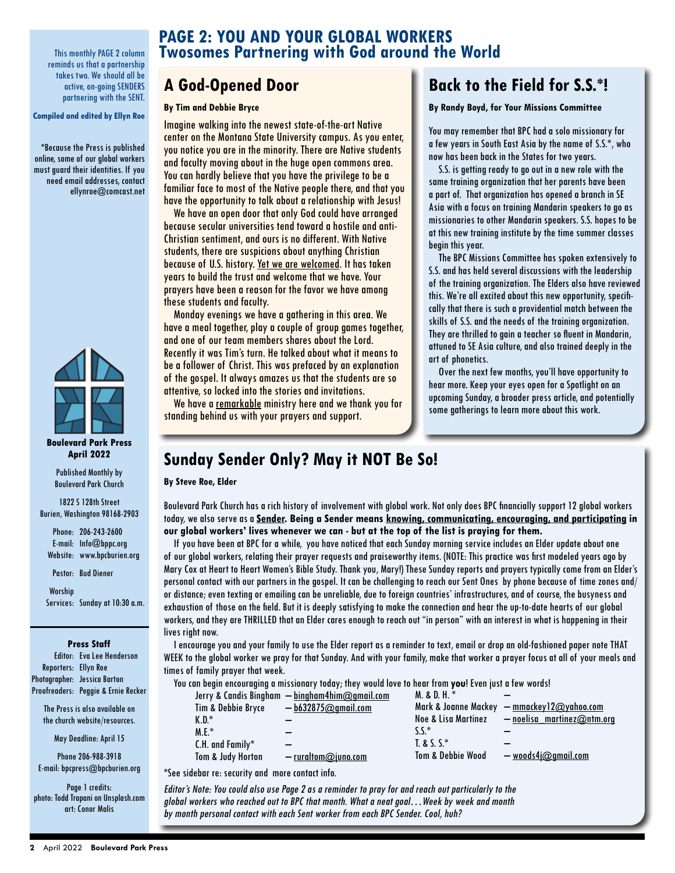This monthly PAGE 2 column reminds us that a partnership takes two. We should all be active, on-going SENDERS partnering with the SENT.

#### **Compiled and edited by Ellyn Roe**

\*Because the Press is published online, some of our global workers must guard their identities. If you need email addresses, contact ellynroe@comcast.net



**Boulevard Park Press April 2022**

Published Monthly by Boulevard Park Church

1822 S 128th Street Burien, Washington 98168-2903

Phone: 206-243-2600 E-mail: Info@bppc.org Website: www.bpcburien.org

Pastor: Bud Diener

Worship Services: Sunday at 10:30 a.m.

#### **Press Staff**

Editor: Eva Lee Henderson Reporters: Ellyn Roe Photographer: Jessica Barton Proofreaders: Peggie & Ernie Recker

> The Press is also available on the church website/resources.

May Deadline: April 15

Phone 206-988-3918 E-mail: bpcpress@bpcburien.org

Page 1 credits: photo: Todd Trapani on Unsplash.com art: Conor Malis

## **PAGE 2: YOU AND YOUR GLOBAL WORKERS Twosomes Partnering with God around the World**

## **A God-Opened Door**

#### **By Tim and Debbie Bryce**

Imagine walking into the newest state-of-the-art Native center on the Montana State University campus. As you enter, you notice you are in the minority. There are Native students and faculty moving about in the huge open commons area. You can hardly believe that you have the privilege to be a familiar face to most of the Native people there, and that you have the opportunity to talk about a relationship with Jesus!

We have an open door that only God could have arranged because secular universities tend toward a hostile and anti-Christian sentiment, and ours is no different. With Native students, there are suspicions about anything Christian because of U.S. history. <u>Yet we are welcomed</u>. It has taken years to build the trust and welcome that we have. Your prayers have been a reason for the favor we have among these students and faculty.

Monday evenings we have a gathering in this area. We have a meal together, play a couple of group games together, and one of our team members shares about the Lord. Recently it was Tim's turn. He talked about what it means to be a follower of Christ. This was prefaced by an explanation of the gospel. It always amazes us that the students are so attentive, so locked into the stories and invitations.

We have a remarkable ministry here and we thank you for standing behind us with your prayers and support.

## **Back to the Field for S.S.\*!**

**By Randy Boyd, for Your Missions Committee**

You may remember that BPC had a solo missionary for a few years in South East Asia by the name of S.S.\*, who now has been back in the States for two years.

S.S. is getting ready to go out in a new role with the same training organization that her parents have been a part of. That organization has opened a branch in SE Asia with a focus on training Mandarin speakers to go as missionaries to other Mandarin speakers. S.S. hopes to be at this new training institute by the time summer classes begin this year.

The BPC Missions Committee has spoken extensively to S.S. and has held several discussions with the leadership of the training organization. The Elders also have reviewed this. We're all excited about this new opportunity, specifically that there is such a providential match between the skills of S.S. and the needs of the training organization. They are thrilled to gain a teacher so fluent in Mandarin, attuned to SE Asia culture, and also trained deeply in the art of phonetics.

Over the next few months, you'll have opportunity to hear more. Keep your eyes open for a Spotlight on an upcoming Sunday, a broader press article, and potentially some gatherings to learn more about this work.

## **Sunday Sender Only? May it NOT Be So!**

#### **By Steve Roe, Elder**

Boulevard Park Church has a rich history of involvement with global work. Not only does BPC financially support 12 global workers today, we also serve as a **Sender. Being a Sender means knowing, communicating, encouraging, and participating in our global workers' lives whenever we can - but at the top of the list is praying for them.**

If you have been at BPC for a while, you have noticed that each Sunday morning service includes an Elder update about one of our global workers, relating their prayer requests and praiseworthy items. (NOTE: This practice was first modeled years ago by Mary Cox at Heart to Heart Women's Bible Study. Thank you, Mary!) These Sunday reports and prayers typically come from an Elder's personal contact with our partners in the gospel. It can be challenging to reach our Sent Ones by phone because of time zones and/ or distance; even texting or emailing can be unreliable, due to foreign countries' infrastructures, and of course, the busyness and exhaustion of those on the field. But it is deeply satisfying to make the connection and hear the up-to-date hearts of our global workers, and they are THRILLED that an Elder cares enough to reach out "in person" with an interest in what is happening in their lives right now.

I encourage you and your family to use the Elder report as a reminder to text, email or drop an old-fashioned paper note THAT WEEK to the global worker we pray for that Sunday. And with your family, make that worker a prayer focus at all of your meals and times of family prayer that week.

You can begin encouraging a missionary today; they would love to hear from **you**! Even just a few words!

|                    | Jerry & Candis Bingham - bingham4him@gmail.com              | $M. 8 D. H.*$       |                                             |
|--------------------|-------------------------------------------------------------|---------------------|---------------------------------------------|
| Tim & Debbie Bryce | $-\frac{\text{b632875}\textcircled{a}}{\text{g}}$ gmail.com |                     | Mark & Joanne Mackey – mmackey 12@yahoo.com |
| $K.D.*$            |                                                             | Noe & Lisa Martinez | — noelisa martinez@ntm.org                  |
| $M.E.*$            |                                                             | $SS^*$              |                                             |
| C.H. and Family*   |                                                             | $T. 8.5.5*$         | _                                           |
| Tom & Judy Horton  | -ruraltom@juno.com                                          | Tom & Debbie Wood   | $-$ woods4j@gmail.com                       |

\*See sidebar re: security and more contact info.

Editor's Note: You could also use Page 2 as a reminder to pray for and reach out particularly to the global workers who reached out to BPC that month. What a neat goal…Week by week and month by month personal contact with each Sent worker from each BPC Sender. Cool, huh?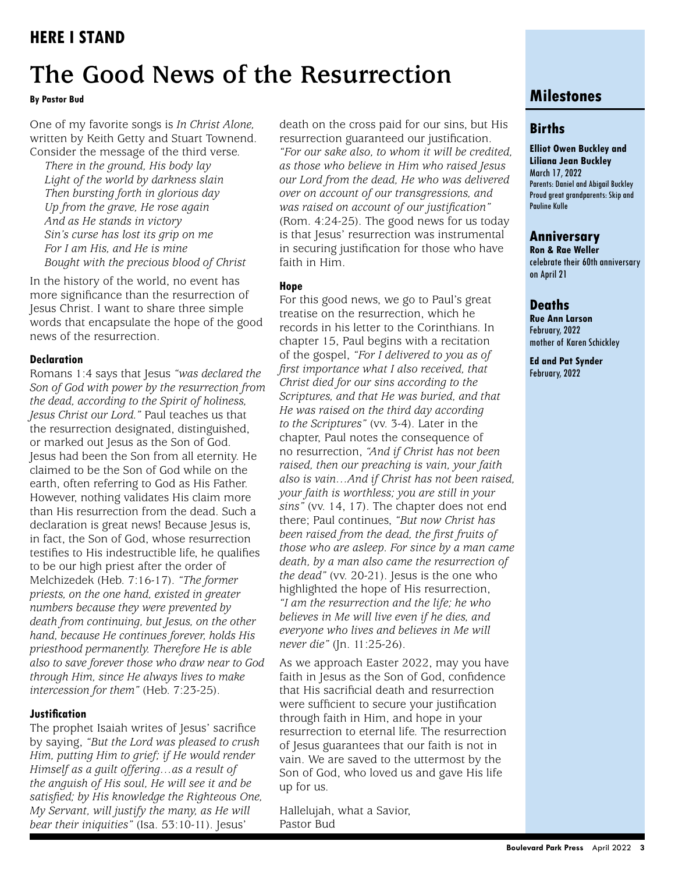# **The Good News of the Resurrection**

#### **By Pastor Bud**

One of my favorite songs is *In Christ Alone,*  written by Keith Getty and Stuart Townend. Consider the message of the third verse.

*There in the ground, His body lay Light of the world by darkness slain Then bursting forth in glorious day Up from the grave, He rose again And as He stands in victory Sin's curse has lost its grip on me For I am His, and He is mine Bought with the precious blood of Christ*

In the history of the world, no event has more significance than the resurrection of Jesus Christ. I want to share three simple words that encapsulate the hope of the good news of the resurrection.

#### **Declaration**

Romans 1:4 says that Jesus *"was declared the Son of God with power by the resurrection from the dead, according to the Spirit of holiness, Jesus Christ our Lord."* Paul teaches us that the resurrection designated, distinguished, or marked out Jesus as the Son of God. Jesus had been the Son from all eternity. He claimed to be the Son of God while on the earth, often referring to God as His Father. However, nothing validates His claim more than His resurrection from the dead. Such a declaration is great news! Because Jesus is, in fact, the Son of God, whose resurrection testifies to His indestructible life, he qualifies to be our high priest after the order of Melchizedek (Heb. 7:16-17). *"The former priests, on the one hand, existed in greater numbers because they were prevented by death from continuing, but Jesus, on the other hand, because He continues forever, holds His priesthood permanently. Therefore He is able also to save forever those who draw near to God through Him, since He always lives to make intercession for them"* (Heb. 7:23-25).

#### **Justification**

The prophet Isaiah writes of Jesus' sacrifice by saying, *"But the Lord was pleased to crush Him, putting Him to grief; if He would render Himself as a guilt offering…as a result of the anguish of His soul, He will see it and be satisfied; by His knowledge the Righteous One, My Servant, will justify the many, as He will bear their iniquities"* (Isa. 53:10-11). Jesus'

death on the cross paid for our sins, but His resurrection guaranteed our justification. *"For our sake also, to whom it will be credited, as those who believe in Him who raised Jesus our Lord from the dead, He who was delivered over on account of our transgressions, and was raised on account of our justification"*  (Rom. 4:24-25). The good news for us today is that Jesus' resurrection was instrumental in securing justification for those who have faith in Him.

#### **Hope**

For this good news, we go to Paul's great treatise on the resurrection, which he records in his letter to the Corinthians. In chapter 15, Paul begins with a recitation of the gospel, *"For I delivered to you as of first importance what I also received, that Christ died for our sins according to the Scriptures, and that He was buried, and that He was raised on the third day according to the Scriptures"* (vv. 3-4). Later in the chapter, Paul notes the consequence of no resurrection, *"And if Christ has not been raised, then our preaching is vain, your faith also is vain…And if Christ has not been raised, your faith is worthless; you are still in your sins"* (vv. 14, 17). The chapter does not end there; Paul continues, *"But now Christ has been raised from the dead, the first fruits of those who are asleep. For since by a man came death, by a man also came the resurrection of the dead"* (vv. 20-21). Jesus is the one who highlighted the hope of His resurrection, *"I am the resurrection and the life; he who believes in Me will live even if he dies, and everyone who lives and believes in Me will never die"* (Jn. 11:25-26).

As we approach Easter 2022, may you have faith in Jesus as the Son of God, confidence that His sacrificial death and resurrection were sufficient to secure your justification through faith in Him, and hope in your resurrection to eternal life. The resurrection of Jesus guarantees that our faith is not in vain. We are saved to the uttermost by the Son of God, who loved us and gave His life up for us.

Hallelujah, what a Savior, Pastor Bud

## **Milestones**

## **Births**

**Elliot Owen Buckley and Liliana Jean Buckley** March 17, 2022 Parents: Daniel and Abigail Buckley Proud great grandparents: Skip and Pauline Kulle

### **Anniversary**

**Ron & Rae Weller** celebrate their 60th anniversary on April 21

### **Deaths**

**Rue Ann Larson**  February, 2022 mother of Karen Schickley

**Ed and Pat Synder** February, 2022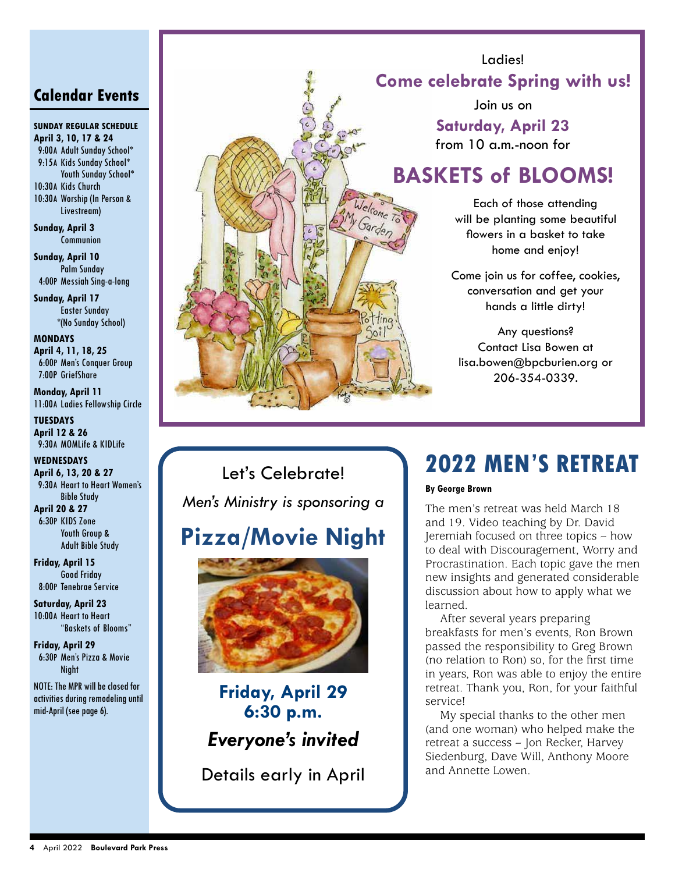## **Calendar Events**

**sunday regular schedule April 3, 10, 17 & 24**  9:00a Adult Sunday School\* 9:15a Kids Sunday School\* Youth Sunday School\* 10:30a Kids Church 10:30a Worship (In Person & Livestream)

**Sunday, April 3** Communion

**Sunday, April 10**  Palm Sunday 4:00p Messiah Sing-a-long

**Sunday, April 17** Easter Sunday \*(No Sunday School)

**MONDAYS April 4, 11, 18, 25** 6:00p Men's Conquer Group 7:00P GriefShare

**Monday, April 11** 11:00a Ladies Fellowship Circle

**TUESDAYS April 12 & 26** 9:30a MOMLife & KIDLife

**WEDNESDAYS April 6, 13, 20 & 27** 9:30a Heart to Heart Women's Bible Study **April 20 & 27** 6:30p KIDS Zone Youth Group & Adult Bible Study

**Friday, April 15** Good Friday 8:00p Tenebrae Service

**Saturday, April 23**  10:00a Heart to Heart "Baskets of Blooms"

**Friday, April 29** 6:30p Men's Pizza & Movie Night

NOTE: The MPR will be closed for activities during remodeling until mid-April (see page 6).



## Ladies! **Come celebrate Spring with us!**

Join us on

**Saturday, April 23**  from 10 a.m.-noon for

# **BASKETS of BLOOMS!**

Each of those attending will be planting some beautiful flowers in a basket to take home and enjoy!

Come join us for coffee, cookies, conversation and get your hands a little dirty!

Any questions? Contact Lisa Bowen at lisa.bowen@bpcburien.org or 206-354-0339.

Let's Celebrate! *Men's Ministry is sponsoring a*

# **Pizza/Movie Night**



**Friday, April 29 6:30 p.m.** *Everyone's invited* Details early in April

# **2022 MEN'S RETREAT**

**By George Brown**

The men's retreat was held March 18 and 19. Video teaching by Dr. David Jeremiah focused on three topics – how to deal with Discouragement, Worry and Procrastination. Each topic gave the men new insights and generated considerable discussion about how to apply what we learned.

After several years preparing breakfasts for men's events, Ron Brown passed the responsibility to Greg Brown (no relation to Ron) so, for the first time in years, Ron was able to enjoy the entire retreat. Thank you, Ron, for your faithful service!

My special thanks to the other men (and one woman) who helped make the retreat a success – Jon Recker, Harvey Siedenburg, Dave Will, Anthony Moore and Annette Lowen.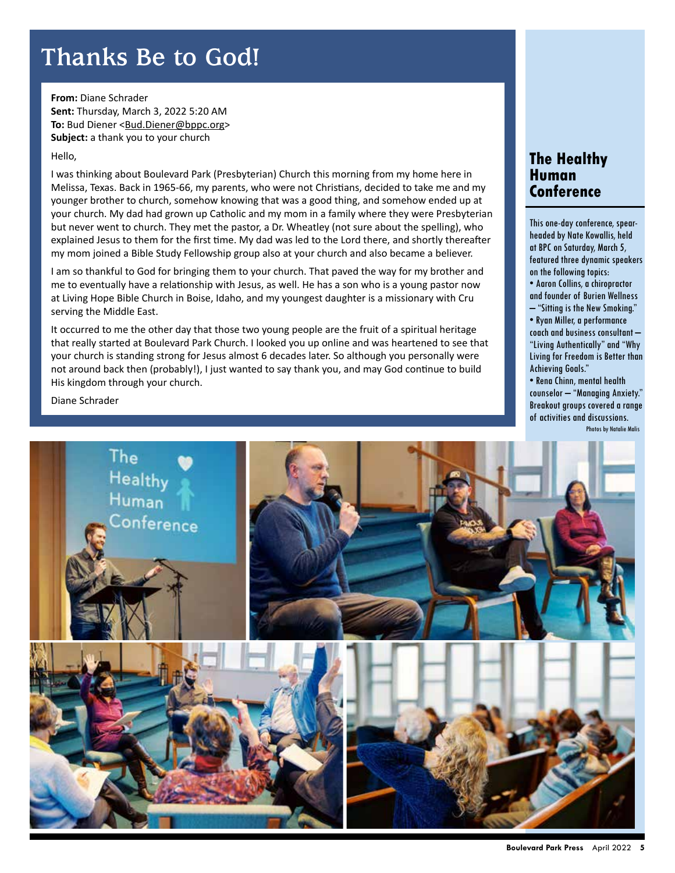# **Thanks Be to God!**

**From:** Diane Schrader **Sent:** Thursday, March 3, 2022 5:20 AM **To:** Bud Diener <Bud.Diener@bppc.org> **Subject:** a thank you to your church

Hello,

I was thinking about Boulevard Park (Presbyterian) Church this morning from my home here in Melissa, Texas. Back in 1965-66, my parents, who were not Christians, decided to take me and my younger brother to church, somehow knowing that was a good thing, and somehow ended up at your church. My dad had grown up Catholic and my mom in a family where they were Presbyterian but never went to church. They met the pastor, a Dr. Wheatley (not sure about the spelling), who explained Jesus to them for the first time. My dad was led to the Lord there, and shortly thereafter my mom joined a Bible Study Fellowship group also at your church and also became a believer.

I am so thankful to God for bringing them to your church. That paved the way for my brother and me to eventually have a relationship with Jesus, as well. He has a son who is a young pastor now at Living Hope Bible Church in Boise, Idaho, and my youngest daughter is a missionary with Cru serving the Middle East.

It occurred to me the other day that those two young people are the fruit of a spiritual heritage that really started at Boulevard Park Church. I looked you up online and was heartened to see that your church is standing strong for Jesus almost 6 decades later. So although you personally were not around back then (probably!), I just wanted to say thank you, and may God continue to build His kingdom through your church.

Diane Schrader

# The **Healthy** Human onference

**The Healthy Human Conference**

This one-day conference, spearheaded by Nate Kowallis, held at BPC on Saturday, March 5, featured three dynamic speakers on the following topics:

• Aaron Collins, a chiropractor and founder of Burien Wellness – "Sitting is the New Smoking."

• Ryan Miller, a performance coach and business consultant – "Living Authentically" and "Why Living for Freedom is Better than Achieving Goals."

• Rena Chinn, mental health counselor – "Managing Anxiety." Breakout groups covered a range of activities and discussions. Photos by Natalie Malis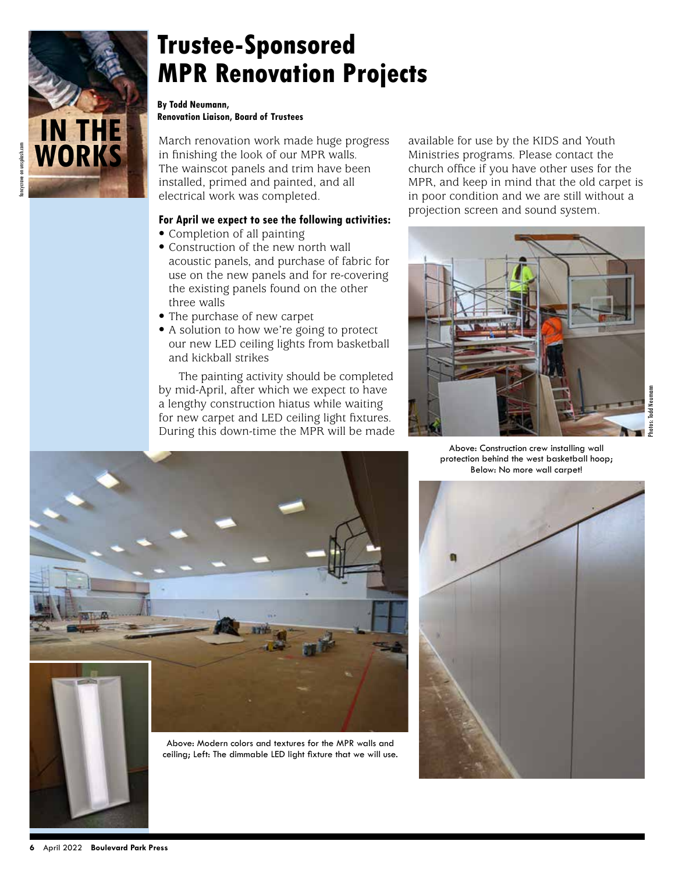

# **Trustee-Sponsored MPR Renovation Projects**

# **By Todd Neumann,**

in finishing the look of our MPR walls. The wainscot panels and trim have been installed, primed and painted, and all electrical work was completed.

#### **For April we expect to see the following activities:**

- Completion of all painting
- Construction of the new north wall acoustic panels, and purchase of fabric for use on the new panels and for re-covering the existing panels found on the other three walls
- The purchase of new carpet
- A solution to how we're going to protect our new LED ceiling lights from basketball and kickball strikes

The painting activity should be completed by mid-April, after which we expect to have a lengthy construction hiatus while waiting for new carpet and LED ceiling light fixtures. During this down-time the MPR will be made available for use by the KIDS and Youth Ministries programs. Please contact the church office if you have other uses for the MPR, and keep in mind that the old carpet is in poor condition and we are still without a projection screen and sound system.



Above: Construction crew installing wall protection behind the west basketball hoop; Below: No more wall carpet!



Above: Modern colors and textures for the MPR walls and ceiling; Left: The dimmable LED light fixture that we will use.

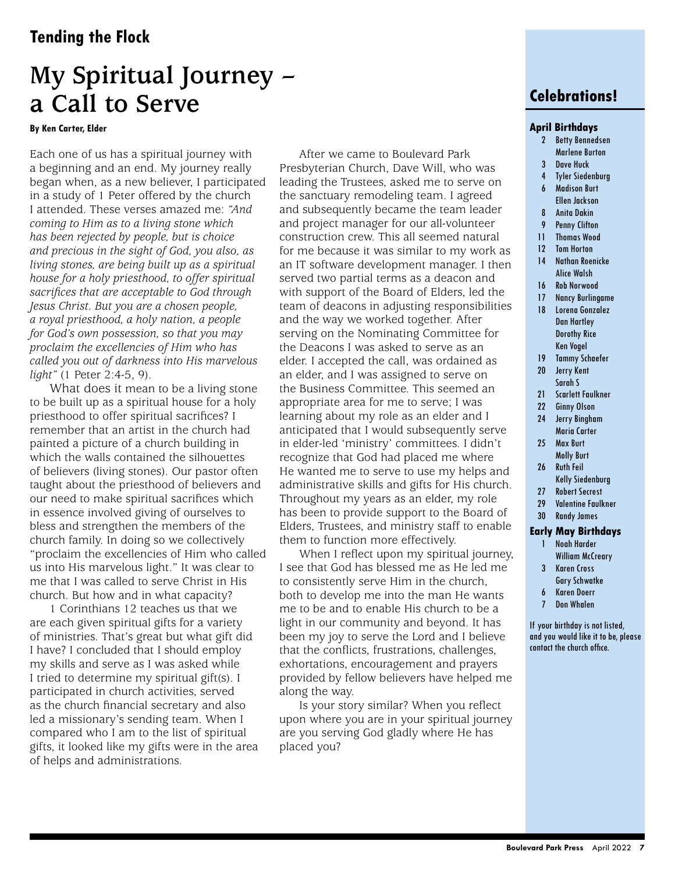# **Tending the Flock**

# **My Spiritual Journey – a Call to Serve**

**By Ken Carter, Elder**

Each one of us has a spiritual journey with a beginning and an end. My journey really began when, as a new believer, I participated in a study of 1 Peter offered by the church I attended. These verses amazed me: *"And coming to Him as to a living stone which has been rejected by people, but is choice and precious in the sight of God, you also, as living stones, are being built up as a spiritual house for a holy priesthood, to offer spiritual sacrifices that are acceptable to God through Jesus Christ. But you are a chosen people, a royal priesthood, a holy nation, a people for God's own possession, so that you may proclaim the excellencies of Him who has called you out of darkness into His marvelous light"* (1 Peter 2:4-5, 9).

What does it mean to be a living stone to be built up as a spiritual house for a holy priesthood to offer spiritual sacrifices? I remember that an artist in the church had painted a picture of a church building in which the walls contained the silhouettes of believers (living stones). Our pastor often taught about the priesthood of believers and our need to make spiritual sacrifices which in essence involved giving of ourselves to bless and strengthen the members of the church family. In doing so we collectively "proclaim the excellencies of Him who called us into His marvelous light." It was clear to me that I was called to serve Christ in His church. But how and in what capacity?

1 Corinthians 12 teaches us that we are each given spiritual gifts for a variety of ministries. That's great but what gift did I have? I concluded that I should employ my skills and serve as I was asked while I tried to determine my spiritual gift(s). I participated in church activities, served as the church financial secretary and also led a missionary's sending team. When I compared who I am to the list of spiritual gifts, it looked like my gifts were in the area of helps and administrations.

After we came to Boulevard Park Presbyterian Church, Dave Will, who was leading the Trustees, asked me to serve on the sanctuary remodeling team. I agreed and subsequently became the team leader and project manager for our all-volunteer construction crew. This all seemed natural for me because it was similar to my work as an IT software development manager. I then served two partial terms as a deacon and with support of the Board of Elders, led the team of deacons in adjusting responsibilities and the way we worked together. After serving on the Nominating Committee for the Deacons I was asked to serve as an elder. I accepted the call, was ordained as an elder, and I was assigned to serve on the Business Committee. This seemed an appropriate area for me to serve; I was learning about my role as an elder and I anticipated that I would subsequently serve in elder-led 'ministry' committees. I didn't recognize that God had placed me where He wanted me to serve to use my helps and administrative skills and gifts for His church. Throughout my years as an elder, my role has been to provide support to the Board of Elders, Trustees, and ministry staff to enable them to function more effectively.

When I reflect upon my spiritual journey, I see that God has blessed me as He led me to consistently serve Him in the church, both to develop me into the man He wants me to be and to enable His church to be a light in our community and beyond. It has been my joy to serve the Lord and I believe that the conflicts, frustrations, challenges, exhortations, encouragement and prayers provided by fellow believers have helped me along the way.

Is your story similar? When you reflect upon where you are in your spiritual journey are you serving God gladly where He has placed you?

## **Celebrations!**

#### **April Birthdays**

- 2 Betty Bennedsen Marlene Burton
- 3 Dave Huck
- 4 Tyler Siedenburg 6 Madison Burt
	- Ellen Jackson
- 8 Anita Dakin
- 9 Penny Clifton
- 11 Thomas Wood
- 12 Tom Horton
- 14 Nathan Roenicke Alice Walsh
- 16 Rob Norwood
- 17 Nancy Burlingame
- 18 Lorena Gonzalez Dan Hartley Dorothy Rice Ken Vogel
- 19 Tammy Schaefer
- 20 Jerry Kent Sarah S
- 21 Scarlett Faulkner
- 22 Ginny Olson
- 24 Jerry Bingham Maria Carter
- 25 Max Burt Molly Burt
- 26 Ruth Feil
- Kelly Siedenburg
- 27 Robert Secrest 29 Valentine Faulkner
- 30 Randy James

#### **Early May Birthdays**

- 1 Noah Harder William McCreary
- 3 Karen Cross Gary Schwatke
- 6 Karen Doerr
- 7 Don Whalen
- 

If your birthday is not listed, and you would like it to be, please contact the church office.